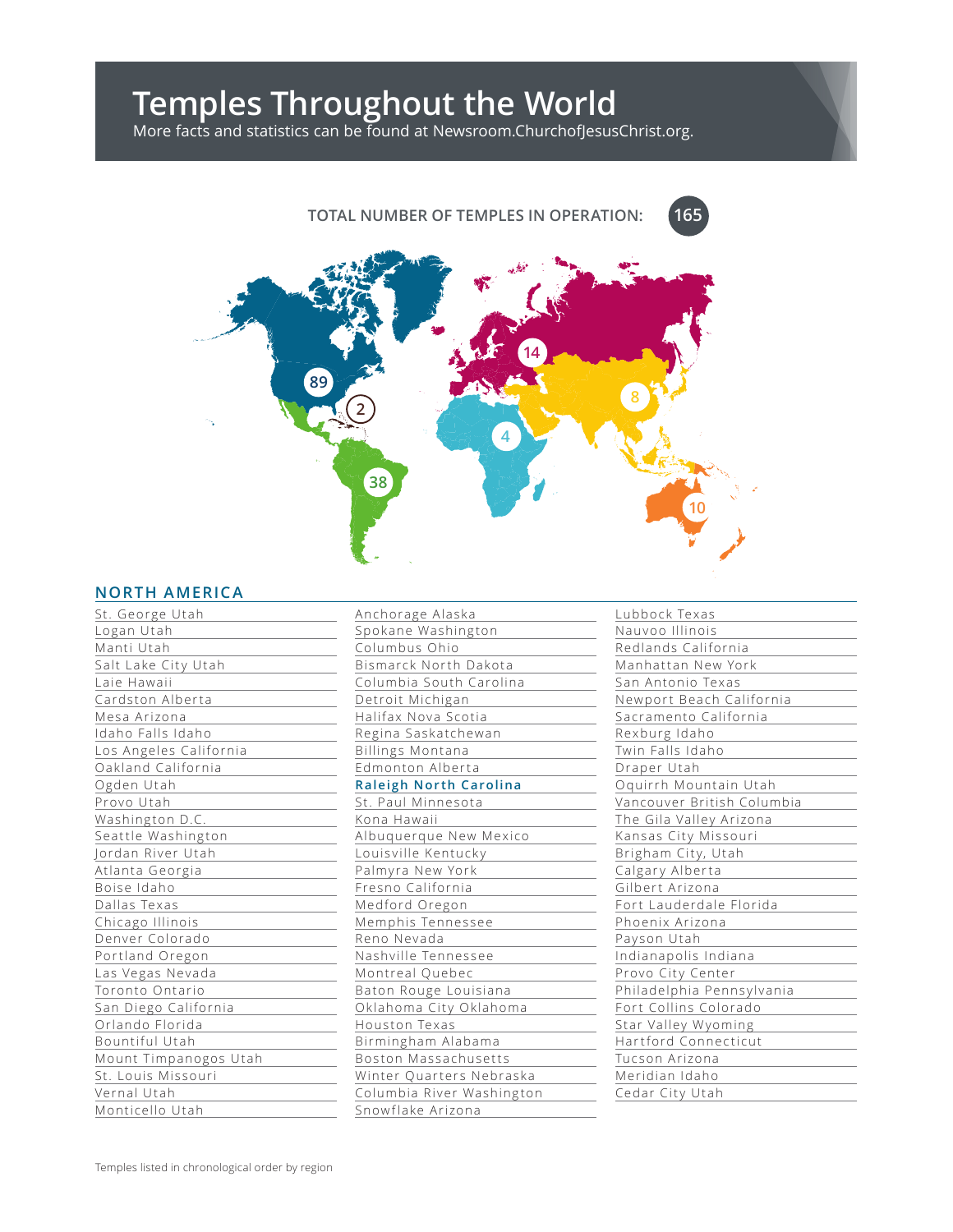# **Temples Throughout the World**

More facts and statistics can be found at Newsroom.ChurchofJesusChrist.org.

# **TOTAL NUMBER OF TEMPLES IN OPERATION:**



## **NORTH AMERICA**

| St. George Utah        |
|------------------------|
| Logan Utah             |
| Manti Utah             |
| Salt Lake City Utah    |
| Laie Hawaii            |
| Cardston Alberta       |
| Mesa Arizona           |
| Idaho Falls Idaho      |
| Los Angeles California |
| Oakland California     |
| Ogden Utah             |
| Provo Utah             |
| Washington D.C.        |
| Seattle Washington     |
| Jordan River Utah      |
| Atlanta Georgia        |
| Boise Idaho            |
| Dallas Texas           |
| Chicago Illinois       |
| Denver Colorado        |
| Portland Oregon        |
| Las Vegas Nevada       |
| Toronto Ontario        |
| San Diego California   |
| Orlando Florida        |
| Bountiful Utah         |
| Mount Timpanogos Utah  |
| St. Louis Missouri     |
| Vernal Utah            |
| Monticello Utah        |

| Anchorage Alaska              |
|-------------------------------|
| Spokane Washington            |
| Columbus Ohio                 |
| Bismarck North Dakota         |
| Columbia South Carolina       |
| Detroit Michigan              |
| Halifax Nova Scotia           |
| Regina Saskatchewan           |
| <b>Billings Montana</b>       |
| Edmonton Alberta              |
| <b>Raleigh North Carolina</b> |
| St. Paul Minnesota            |
| Kona Hawaii                   |
| Albuquerque New Mexico        |
| Louisville Kentucky           |
| Palmyra New York              |
| Fresno California             |
| Medford Oregon                |
| Memphis Tennessee             |
| Reno Nevada                   |
| Nashville Tennessee           |
| Montreal Quebec               |
| Baton Rouge Louisiana         |
| Oklahoma City Oklahoma        |
| Houston Texas                 |
| Birmingham Alabama            |
| Boston Massachusetts          |
| Winter Quarters Nebraska      |
| Columbia River Washington     |
| Snowflake Arizona             |

| Lubbock Texas              |
|----------------------------|
| Nauvoo Illinois            |
| Redlands California        |
| Manhattan New York         |
| San Antonio Texas          |
| Newport Beach California   |
| Sacramento California      |
| Rexburg Idaho              |
| Twin Falls Idaho           |
| Draper Utah                |
| Oquirrh Mountain Utah      |
| Vancouver British Columbia |
| The Gila Valley Arizona    |
| Kansas City Missouri       |
| Brigham City, Utah         |
| Calgary Alberta            |
| Gilbert Arizona            |
| Fort Lauderdale Florida    |
| Phoenix Arizona            |
| Payson Utah                |
| Indianapolis Indiana       |
| Provo City Center          |
| Philadelphia Pennsylvania  |
| Fort Collins Colorado      |
| Star Valley Wyoming        |
| Hartford Connecticut       |
| Tucson Arizona             |
| Meridian Idaho             |
| Cedar City Utah            |

**165**